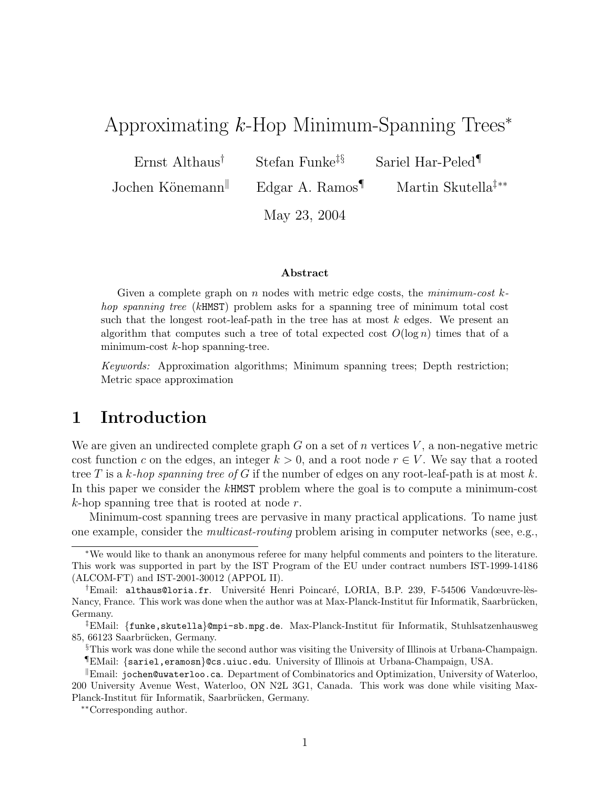# Approximating k-Hop Minimum-Spanning Trees<sup>∗</sup>

Ernst Althaus<sup>†</sup> Stefan Funke<sup>‡§</sup> Sariel Har-Peled<sup>¶</sup>

Jochen Könemann<sup>∥</sup> Edgar A. Ramos¶ Martin Skutella<sup>‡</sup><sup>∗∗</sup>

May 23, 2004

#### Abstract

Given a complete graph on  $n$  nodes with metric edge costs, the  $minimum-cost$ hop spanning tree (kHMST) problem asks for a spanning tree of minimum total cost such that the longest root-leaf-path in the tree has at most  $k$  edges. We present an algorithm that computes such a tree of total expected cost  $O(\log n)$  times that of a minimum-cost  $k$ -hop spanning-tree.

Keywords: Approximation algorithms; Minimum spanning trees; Depth restriction; Metric space approximation

# 1 Introduction

We are given an undirected complete graph G on a set of n vertices  $V$ , a non-negative metric cost function c on the edges, an integer  $k > 0$ , and a root node  $r \in V$ . We say that a rooted tree T is a k-hop spanning tree of G if the number of edges on any root-leaf-path is at most k. In this paper we consider the kHMST problem where the goal is to compute a minimum-cost  $k$ -hop spanning tree that is rooted at node  $r$ .

Minimum-cost spanning trees are pervasive in many practical applications. To name just one example, consider the multicast-routing problem arising in computer networks (see, e.g.,

<sup>∗</sup>We would like to thank an anonymous referee for many helpful comments and pointers to the literature. This work was supported in part by the IST Program of the EU under contract numbers IST-1999-14186 (ALCOM-FT) and IST-2001-30012 (APPOL II).

<sup>&</sup>lt;sup>†</sup>Email: althaus@loria.fr. Université Henri Poincaré, LORIA, B.P. 239, F-54506 Vandœuvre-lès-Nancy, France. This work was done when the author was at Max-Planck-Institut für Informatik, Saarbrücken, Germany.

 ${}^{\ddagger}$ EMail: {funke,skutella}@mpi-sb.mpg.de. Max-Planck-Institut für Informatik, Stuhlsatzenhausweg 85, 66123 Saarbrücken, Germany.

<sup>§</sup>This work was done while the second author was visiting the University of Illinois at Urbana-Champaign. ¶EMail: {sariel,eramosn}@cs.uiuc.edu. University of Illinois at Urbana-Champaign, USA.

 $\mathbb{R}$ Email: jochen@uwaterloo.ca. Department of Combinatorics and Optimization, University of Waterloo, 200 University Avenue West, Waterloo, ON N2L 3G1, Canada. This work was done while visiting Max-Planck-Institut für Informatik, Saarbrücken, Germany.

<sup>∗∗</sup>Corresponding author.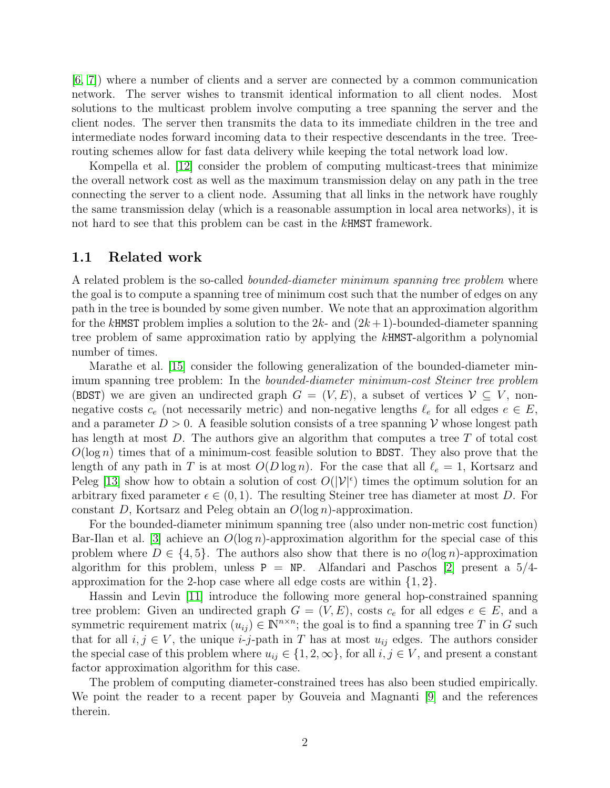[\[6,](#page-6-0) [7\]](#page-6-1)) where a number of clients and a server are connected by a common communication network. The server wishes to transmit identical information to all client nodes. Most solutions to the multicast problem involve computing a tree spanning the server and the client nodes. The server then transmits the data to its immediate children in the tree and intermediate nodes forward incoming data to their respective descendants in the tree. Treerouting schemes allow for fast data delivery while keeping the total network load low.

Kompella et al. [\[12\]](#page-6-2) consider the problem of computing multicast-trees that minimize the overall network cost as well as the maximum transmission delay on any path in the tree connecting the server to a client node. Assuming that all links in the network have roughly the same transmission delay (which is a reasonable assumption in local area networks), it is not hard to see that this problem can be cast in the kHMST framework.

#### 1.1 Related work

A related problem is the so-called bounded-diameter minimum spanning tree problem where the goal is to compute a spanning tree of minimum cost such that the number of edges on any path in the tree is bounded by some given number. We note that an approximation algorithm for the kHMST problem implies a solution to the  $2k$ - and  $(2k+1)$ -bounded-diameter spanning tree problem of same approximation ratio by applying the kHMST-algorithm a polynomial number of times.

Marathe et al. [\[15\]](#page-6-3) consider the following generalization of the bounded-diameter minimum spanning tree problem: In the bounded-diameter minimum-cost Steiner tree problem (BDST) we are given an undirected graph  $G = (V, E)$ , a subset of vertices  $V \subseteq V$ , nonnegative costs  $c_e$  (not necessarily metric) and non-negative lengths  $\ell_e$  for all edges  $e \in E$ , and a parameter  $D > 0$ . A feasible solution consists of a tree spanning V whose longest path has length at most  $D$ . The authors give an algorithm that computes a tree  $T$  of total cost  $O(\log n)$  times that of a minimum-cost feasible solution to BDST. They also prove that the length of any path in T is at most  $O(D \log n)$ . For the case that all  $\ell_e = 1$ , Kortsarz and Peleg [\[13\]](#page-6-4) show how to obtain a solution of cost  $O(|\mathcal{V}|^{\epsilon})$  times the optimum solution for an arbitrary fixed parameter  $\epsilon \in (0,1)$ . The resulting Steiner tree has diameter at most D. For constant D, Kortsarz and Peleg obtain an  $O(\log n)$ -approximation.

For the bounded-diameter minimum spanning tree (also under non-metric cost function) Bar-Ilan et al. [\[3\]](#page-6-5) achieve an  $O(\log n)$ -approximation algorithm for the special case of this problem where  $D \in \{4, 5\}$ . The authors also show that there is no  $o(\log n)$ -approximation algorithm for this problem, unless  $P = NP$ . Alfandari and Paschos [\[2\]](#page-6-6) present a 5/4approximation for the 2-hop case where all edge costs are within  $\{1, 2\}$ .

Hassin and Levin [\[11\]](#page-6-7) introduce the following more general hop-constrained spanning tree problem: Given an undirected graph  $G = (V, E)$ , costs  $c_e$  for all edges  $e \in E$ , and a symmetric requirement matrix  $(u_{ij}) \in \mathbb{N}^{n \times n}$ ; the goal is to find a spanning tree T in G such that for all  $i, j \in V$ , the unique *i-j*-path in T has at most  $u_{ij}$  edges. The authors consider the special case of this problem where  $u_{ij} \in \{1, 2, \infty\}$ , for all  $i, j \in V$ , and present a constant factor approximation algorithm for this case.

The problem of computing diameter-constrained trees has also been studied empirically. We point the reader to a recent paper by Gouveia and Magnanti [\[9\]](#page-6-8) and the references therein.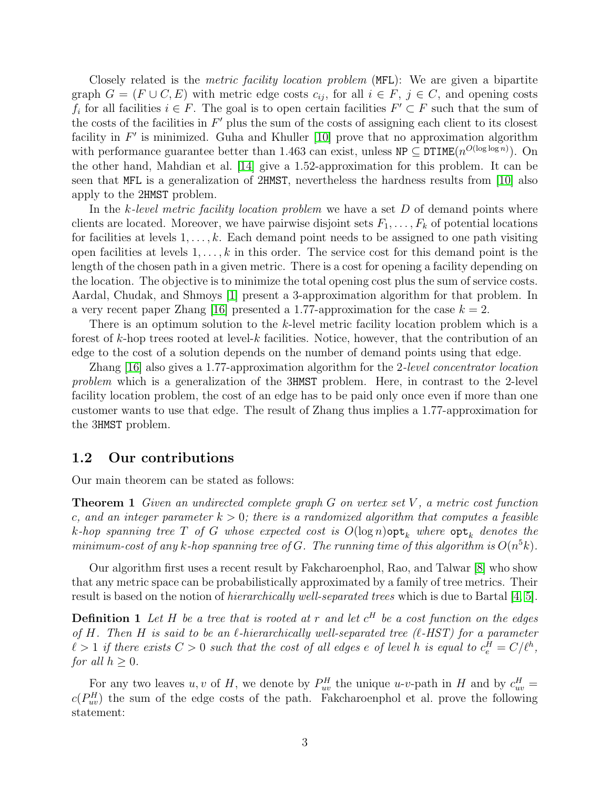Closely related is the *metric facility location problem* (MFL): We are given a bipartite graph  $G = (F \cup C, E)$  with metric edge costs  $c_{ij}$ , for all  $i \in F$ ,  $j \in C$ , and opening costs  $f_i$  for all facilities  $i \in F$ . The goal is to open certain facilities  $F' \subset F$  such that the sum of the costs of the facilities in  $F'$  plus the sum of the costs of assigning each client to its closest facility in  $F'$  is minimized. Guha and Khuller [\[10\]](#page-6-9) prove that no approximation algorithm with performance guarantee better than 1.463 can exist, unless  $NP \subseteq DTIME(n^{O(\log \log n)})$ . On the other hand, Mahdian et al. [\[14\]](#page-6-10) give a 1.52-approximation for this problem. It can be seen that MFL is a generalization of 2HMST, nevertheless the hardness results from [\[10\]](#page-6-9) also apply to the 2HMST problem.

In the k-level metric facility location problem we have a set D of demand points where clients are located. Moreover, we have pairwise disjoint sets  $F_1, \ldots, F_k$  of potential locations for facilities at levels  $1, \ldots, k$ . Each demand point needs to be assigned to one path visiting open facilities at levels  $1, \ldots, k$  in this order. The service cost for this demand point is the length of the chosen path in a given metric. There is a cost for opening a facility depending on the location. The objective is to minimize the total opening cost plus the sum of service costs. Aardal, Chudak, and Shmoys [\[1\]](#page-5-0) present a 3-approximation algorithm for that problem. In a very recent paper Zhang [\[16\]](#page-6-11) presented a 1.77-approximation for the case  $k = 2$ .

There is an optimum solution to the k-level metric facility location problem which is a forest of k-hop trees rooted at level-k facilities. Notice, however, that the contribution of an edge to the cost of a solution depends on the number of demand points using that edge.

Zhang [\[16\]](#page-6-11) also gives a 1.77-approximation algorithm for the 2-level concentrator location problem which is a generalization of the 3HMST problem. Here, in contrast to the 2-level facility location problem, the cost of an edge has to be paid only once even if more than one customer wants to use that edge. The result of Zhang thus implies a 1.77-approximation for the 3HMST problem.

#### 1.2 Our contributions

<span id="page-2-1"></span>Our main theorem can be stated as follows:

**Theorem 1** Given an undirected complete graph G on vertex set  $V$ , a metric cost function c, and an integer parameter  $k > 0$ ; there is a randomized algorithm that computes a feasible k-hop spanning tree  $T$  of  $G$  whose expected cost is  $O(\log n)$ opt<sub>k</sub> where  ${\sf opt}_k$  denotes the minimum-cost of any k-hop spanning tree of G. The running time of this algorithm is  $O(n^5k)$ .

Our algorithm first uses a recent result by Fakcharoenphol, Rao, and Talwar [\[8\]](#page-6-12) who show that any metric space can be probabilistically approximated by a family of tree metrics. Their result is based on the notion of hierarchically well-separated trees which is due to Bartal [\[4,](#page-6-13) [5\]](#page-6-14).

<span id="page-2-2"></span>**Definition 1** Let H be a tree that is rooted at r and let  $c^H$  be a cost function on the edges of H. Then H is said to be an  $\ell$ -hierarchically well-separated tree ( $\ell$ -HST) for a parameter  $\ell > 1$  if there exists  $C > 0$  such that the cost of all edges e of level h is equal to  $c_{e}^{H} = C/\ell^{h}$ , for all  $h \geq 0$ .

<span id="page-2-0"></span>For any two leaves u, v of H, we denote by  $P_{uv}^H$  the unique u-v-path in H and by  $c_{uv}^H$  =  $c(P_{uv}^H)$  the sum of the edge costs of the path. Fakcharoenphol et al. prove the following statement: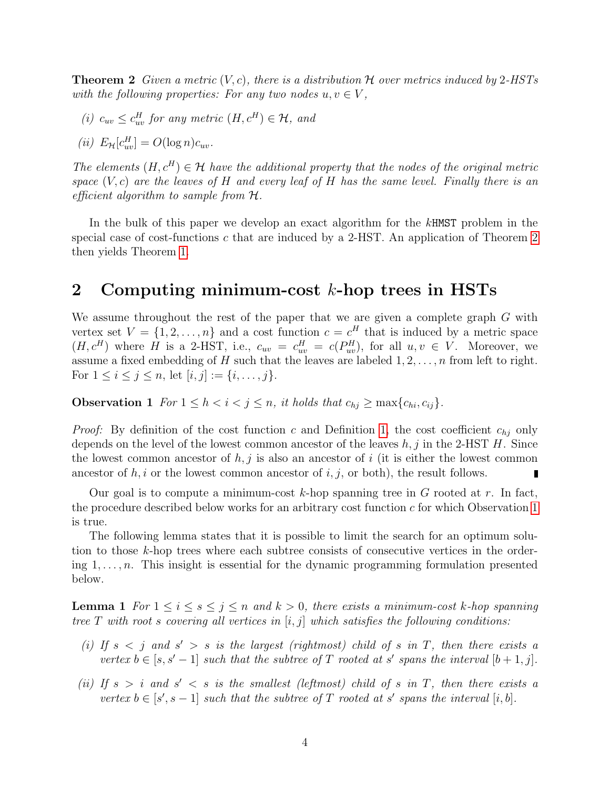**Theorem 2** Given a metric  $(V, c)$ , there is a distribution H over metrics induced by 2-HSTs with the following properties: For any two nodes  $u, v \in V$ ,

(i)  $c_{uv} \leq c_{uv}^H$  for any metric  $(H, c^H) \in \mathcal{H}$ , and

$$
(ii) E_{\mathcal{H}}[c_{uv}^H] = O(\log n) c_{uv}.
$$

The elements  $(H, c^H) \in \mathcal{H}$  have the additional property that the nodes of the original metric space  $(V, c)$  are the leaves of H and every leaf of H has the same level. Finally there is an efficient algorithm to sample from  $H$ .

In the bulk of this paper we develop an exact algorithm for the kHMST problem in the special case of cost-functions c that are induced by a 2-HST. An application of Theorem [2](#page-2-0) then yields Theorem [1.](#page-2-1)

### 2 Computing minimum-cost  $k$ -hop trees in HSTs

We assume throughout the rest of the paper that we are given a complete graph G with vertex set  $V = \{1, 2, ..., n\}$  and a cost function  $c = c<sup>H</sup>$  that is induced by a metric space  $(H, c^H)$  where H is a 2-HST, i.e.,  $c_{uv} = c_{uv}^H = c(P_{uv}^H)$ , for all  $u, v \in V$ . Moreover, we assume a fixed embedding of H such that the leaves are labeled  $1, 2, \ldots, n$  from left to right. For  $1 \le i \le j \le n$ , let  $[i, j] := \{i, \ldots, j\}$ .

<span id="page-3-0"></span>**Observation 1** For  $1 \leq h < i < j \leq n$ , it holds that  $c_{hj} \geq \max\{c_{hi}, c_{ij}\}.$ 

*Proof:* By definition of the cost function c and Definition [1,](#page-2-2) the cost coefficient  $c_{hj}$  only depends on the level of the lowest common ancestor of the leaves  $h, j$  in the 2-HST H. Since the lowest common ancestor of  $h, j$  is also an ancestor of i (it is either the lowest common ancestor of  $h, i$  or the lowest common ancestor of  $i, j$ , or both), the result follows.

Our goal is to compute a minimum-cost k-hop spanning tree in G rooted at r. In fact, the procedure described below works for an arbitrary cost function  $c$  for which Observation [1](#page-3-0) is true.

The following lemma states that it is possible to limit the search for an optimum solution to those k-hop trees where each subtree consists of consecutive vertices in the ordering  $1, \ldots, n$ . This insight is essential for the dynamic programming formulation presented below.

<span id="page-3-2"></span>**Lemma 1** For  $1 \leq i \leq s \leq j \leq n$  and  $k > 0$ , there exists a minimum-cost k-hop spanning tree T with root s covering all vertices in  $[i, j]$  which satisfies the following conditions:

- <span id="page-3-1"></span>(i) If  $s < j$  and  $s' > s$  is the largest (rightmost) child of s in T, then there exists a vertex  $b \in [s, s'-1]$  such that the subtree of T rooted at s' spans the interval  $[b+1, j]$ .
- <span id="page-3-3"></span>(ii) If  $s > i$  and  $s' < s$  is the smallest (leftmost) child of s in T, then there exists a vertex  $b \in [s', s-1]$  such that the subtree of T rooted at s' spans the interval  $[i, b]$ .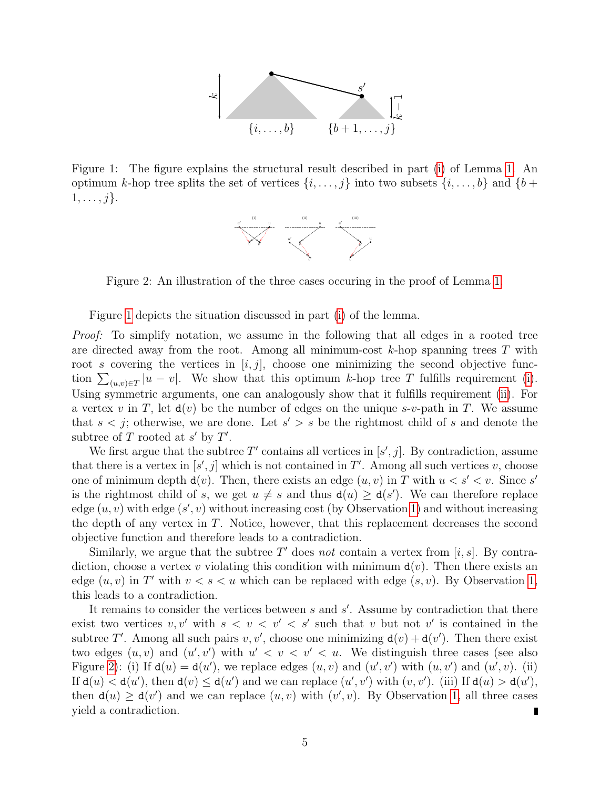

<span id="page-4-0"></span>Figure 1: The figure explains the structural result described in part [\(i\)](#page-3-1) of Lemma [1.](#page-3-2) An optimum k-hop tree splits the set of vertices  $\{i, \ldots, j\}$  into two subsets  $\{i, \ldots, b\}$  and  $\{b +$  $1, \ldots, j$ .



<span id="page-4-1"></span>Figure 2: An illustration of the three cases occuring in the proof of Lemma [1.](#page-3-2)

Figure [1](#page-4-0) depicts the situation discussed in part [\(i\)](#page-3-1) of the lemma.

*Proof:* To simplify notation, we assume in the following that all edges in a rooted tree are directed away from the root. Among all minimum-cost  $k$ -hop spanning trees T with root s covering the vertices in  $[i, j]$ , choose one minimizing the second objective function  $\sum_{(u,v)\in T} |u - v|$ . We show that this optimum k-hop tree T fulfills requirement [\(i\)](#page-3-1). Using symmetric arguments, one can analogously show that it fulfills requirement [\(ii\)](#page-3-3). For a vertex v in T, let  $d(v)$  be the number of edges on the unique s-v-path in T. We assume that  $s < j$ ; otherwise, we are done. Let  $s' > s$  be the rightmost child of s and denote the subtree of T rooted at  $s'$  by T'.

We first argue that the subtree  $T'$  contains all vertices in  $[s', j]$ . By contradiction, assume that there is a vertex in  $[s', j]$  which is not contained in T'. Among all such vertices v, choose one of minimum depth  $d(v)$ . Then, there exists an edge  $(u, v)$  in T with  $u < s' < v$ . Since s' is the rightmost child of s, we get  $u \neq s$  and thus  $d(u) \geq d(s')$ . We can therefore replace edge  $(u, v)$  with edge  $(s', v)$  without increasing cost (by Observation [1\)](#page-3-0) and without increasing the depth of any vertex in T. Notice, however, that this replacement decreases the second objective function and therefore leads to a contradiction.

Similarly, we argue that the subtree  $T'$  does not contain a vertex from [i, s]. By contradiction, choose a vertex v violating this condition with minimum  $d(v)$ . Then there exists an edge  $(u, v)$  in T' with  $v < s < u$  which can be replaced with edge  $(s, v)$ . By Observation [1,](#page-3-0) this leads to a contradiction.

It remains to consider the vertices between  $s$  and  $s'$ . Assume by contradiction that there exist two vertices  $v, v'$  with  $s < v < v' < s'$  such that v but not v' is contained in the subtree T'. Among all such pairs v, v', choose one minimizing  $d(v) + d(v')$ . Then there exist two edges  $(u, v)$  and  $(u', v')$  with  $u' < v < v' < u$ . We distinguish three cases (see also Figure [2\)](#page-4-1): (i) If  $d(u) = d(u')$ , we replace edges  $(u, v)$  and  $(u', v')$  with  $(u, v')$  and  $(u', v)$ . (ii) If  $d(u) < d(u')$ , then  $d(v) \leq d(u')$  and we can replace  $(u', v')$  with  $(v, v')$ . (iii) If  $d(u) > d(u')$ , then  $d(u) \geq d(v')$  and we can replace  $(u, v)$  with  $(v', v)$ . By Observation [1,](#page-3-0) all three cases yield a contradiction.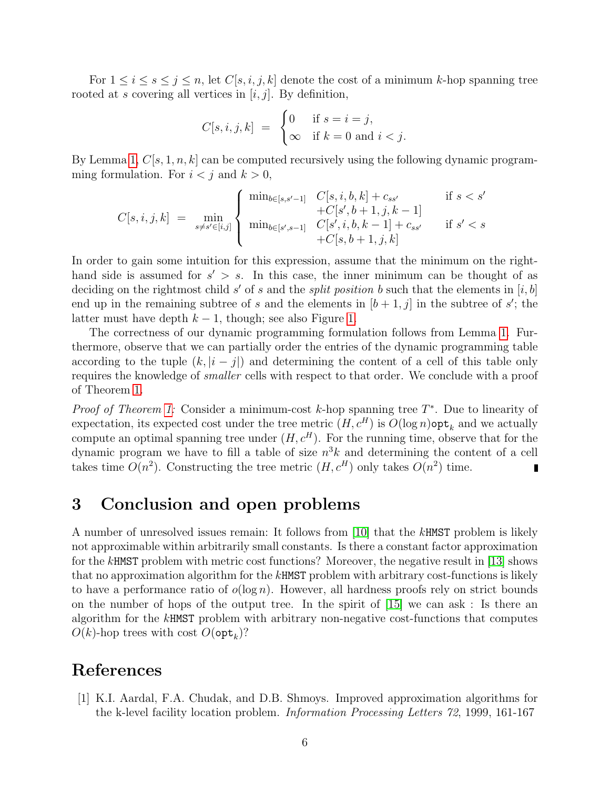For  $1 \leq i \leq s \leq j \leq n$ , let  $C[s, i, j, k]$  denote the cost of a minimum k-hop spanning tree rooted at s covering all vertices in  $[i, j]$ . By definition,

$$
C[s, i, j, k] = \begin{cases} 0 & \text{if } s = i = j, \\ \infty & \text{if } k = 0 \text{ and } i < j. \end{cases}
$$

By Lemma [1,](#page-3-2)  $C[s, 1, n, k]$  can be computed recursively using the following dynamic programming formulation. For  $i < j$  and  $k > 0$ ,

$$
C[s, i, j, k] = \min_{s \neq s' \in [i, j]} \left\{ \begin{array}{ll} \min_{b \in [s, s' - 1]} & C[s, i, b, k] + c_{ss'} & \text{if } s < s' \\ & + C[s', b + 1, j, k - 1] & \\ \min_{b \in [s', s - 1]} & C[s', i, b, k - 1] + c_{ss'} & \text{if } s' < s \\ & + C[s, b + 1, j, k] & \end{array} \right.
$$

In order to gain some intuition for this expression, assume that the minimum on the righthand side is assumed for  $s' > s$ . In this case, the inner minimum can be thought of as deciding on the rightmost child s' of s and the split position b such that the elements in  $[i, b]$ end up in the remaining subtree of s and the elements in  $[b+1, j]$  in the subtree of s'; the latter must have depth  $k - 1$ , though; see also Figure [1.](#page-4-0)

The correctness of our dynamic programming formulation follows from Lemma [1.](#page-3-2) Furthermore, observe that we can partially order the entries of the dynamic programming table according to the tuple  $(k, |i - j|)$  and determining the content of a cell of this table only requires the knowledge of smaller cells with respect to that order. We conclude with a proof of Theorem [1.](#page-2-1)

*Proof of Theorem [1:](#page-2-1)* Consider a minimum-cost k-hop spanning tree  $T^*$ . Due to linearity of expectation, its expected cost under the tree metric  $(H, c^H)$  is  $O(\log n)$  opt<sub>k</sub> and we actually compute an optimal spanning tree under  $(H, c^H)$ . For the running time, observe that for the dynamic program we have to fill a table of size  $n^3k$  and determining the content of a cell takes time  $O(n^2)$ . Constructing the tree metric  $(H, c^H)$  only takes  $O(n^2)$  time.

## 3 Conclusion and open problems

A number of unresolved issues remain: It follows from [\[10\]](#page-6-9) that the kHMST problem is likely not approximable within arbitrarily small constants. Is there a constant factor approximation for the kHMST problem with metric cost functions? Moreover, the negative result in [\[13\]](#page-6-4) shows that no approximation algorithm for the kHMST problem with arbitrary cost-functions is likely to have a performance ratio of  $o(\log n)$ . However, all hardness proofs rely on strict bounds on the number of hops of the output tree. In the spirit of [\[15\]](#page-6-3) we can ask : Is there an algorithm for the kHMST problem with arbitrary non-negative cost-functions that computes  $O(k)$ -hop trees with cost  $O(\mathsf{opt}_k)$ ?

### References

<span id="page-5-0"></span>[1] K.I. Aardal, F.A. Chudak, and D.B. Shmoys. Improved approximation algorithms for the k-level facility location problem. Information Processing Letters 72, 1999, 161-167